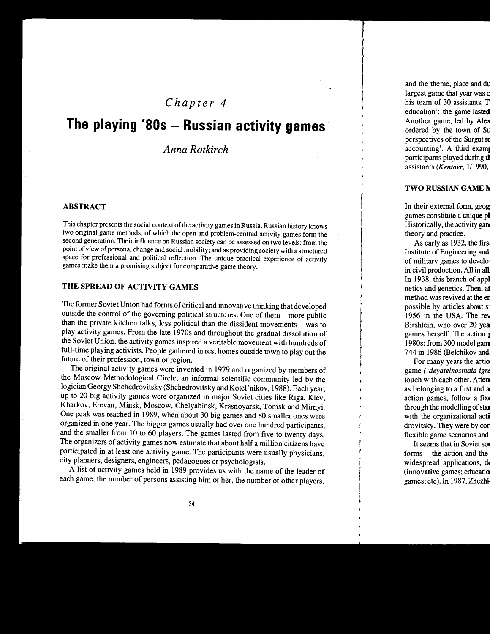# *Chapter 4*

# **The playing '80s - Russian activity games**

# *Anna Rotkirch*

#### ABSTRACT

This chapter presents the social context of the activity games in Russia. Russian history knows two original game methods, of which the open and problem-centred activity games form the second generation. Their influence on Russian society can be assessed on two levels: from the point of view of personal change and social mobility; and as providing society with a structured space for professional and political reflection. The unique practical experience of activity games make them a promising subject for. comparative game theory.

# THE SPREAD OF ACTIVITY GAMES

The former Soviet Union had forms of critical and innovative thinking that developed outside the control of the governing political structures. One of them - more public than the private kitchen talks, less political than the dissident movements - was to play activity games. From the late 1970s and throughout the gradual dissolution of the Soviet Union, the activity games inspired a veritable movement with hundreds of full-time playing activists. People gathered in rest homes outside town to play out the future of their profession, town or region.

The original activity games were invented in 1979 and organized by members of the Moscow Methodological Circle, an informal scientific community led by the logician Georgy Shchedrovitsky (Shchedrovitsky and Kotel 'nikov, 1988). Each year, up to 20 big activity games were organized in major Soviet cities like Riga, Kiev, Kharkov, Erevan, Minsk, Moscow, Chelyabinsk, Krasnoyarsk, Tomsk and Mimyi. One peak was reached in 1989, when about 30 big games and 80 smaller ones were organized in one year. The bigger games usually had over one hundred participants, and the smaller from 10 to 60 players. The games lasted from five to twenty days. The organizers of activity games now estimate that about half a million citizens have participated in at least one activity game. The participants were usually physicians, city planners, designers, engineers, pedagogues or psychologists.

A list of activity games held in 1989 provides us with the name of the leader of each game, the number of persons assisting him or her, the number of other players,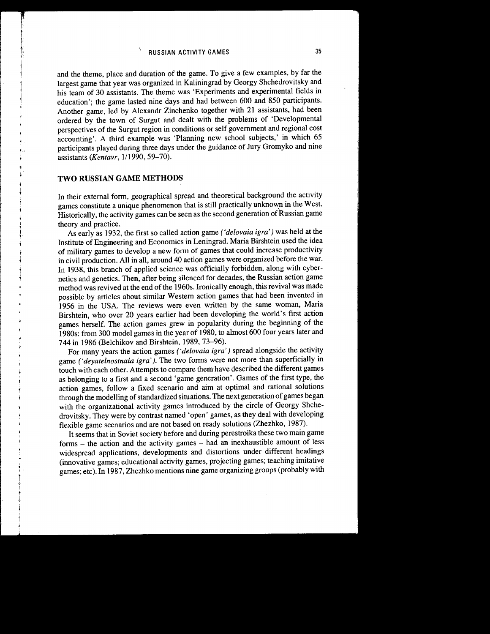and the theme, place and duration of the game. To give a few examples, by far the largest game that year was organized in Kaliningrad by Georgy Shchedrovitsky and his team of 30 assistants. The theme was 'Experiments and experimental fields in education'; the game lasted nine days and had between 600 and 850 participants. Another game, led by Alexandr Zinchenko together with 21 assistants, had been ordered by the town of Surgut and dealt with the problems of 'Developmental perspectives of the Surgut region in conditions or self government and regional cost accounting'. A third example was 'Planning new school subjects,' in which 65 participants played during three days under the guidance of Jury Gromyko and nine assistants *(Kentavr, 1/1990, 59-70)*.

## **TWO RUSSIAN GAME METHODS**

In their external form, geographical spread and theoretical background the activity games constitute a unique phenomenon that is still practically unknown in the West. Historically, the activity games can be seen as the second generation of Russian game theory and practice.

As early as 1932, the first so called action game *('delovaia igra')* was held at the Institute of Engineering and Economics in Leningrad. Maria Birshtein used the idea of military games to develop a new form of games that could increase productivity in civil production. All in all, around 40 action games were organized before the war. In 1938, this branch of applied science was officially forbidden, along with cybernetics and genetics. Then, after being silenced for decades, the Russian action game method was revived at the end of the 1960s. Ironically enough, this revival was made possible by articles about similar Western action games that had been invented in 1956 in the USA. The reviews were even written by the same woman, Maria Birshtein, who over 20 years earlier had been developing the world's first action games herself. The action games grew in popularity during the beginning of the 1980s: from 300 model games in the year of 1980, to almost 600 four years later and 744 in 1986 (Belchikov and Birshtein, 1989, 73-96).

For many years the action games *('delovaia igra')* spread alongside the activity game *('deyatelnostnaia igra' ).* The two forms were not more than superficially in touch with each other. Attempts to compare them have described the different games as belonging to a first and a second 'game generation'. Games of the first type, the action games, follow a fixed scenario and aim at optimal and rational solutions through the modelling of standardized situations. The next generation of games began with the organizational activity games introduced by the circle of Georgy Shchedrovitsky. They were by contrast named 'open' games, as they deal with developing flexible game scenarios and are not based on ready solutions (Zhezhko, 1987).

It seems that in Soviet society before and during perestroika these two main game forms - the action and the activity games - had an inexhaustible amount of less widespread applications, developments and distortions under different headings (innovative games; educational activity games, projecting games; teaching imitative games; etc). In 1987, Zhezhko mentions nine game organizing groups (probably with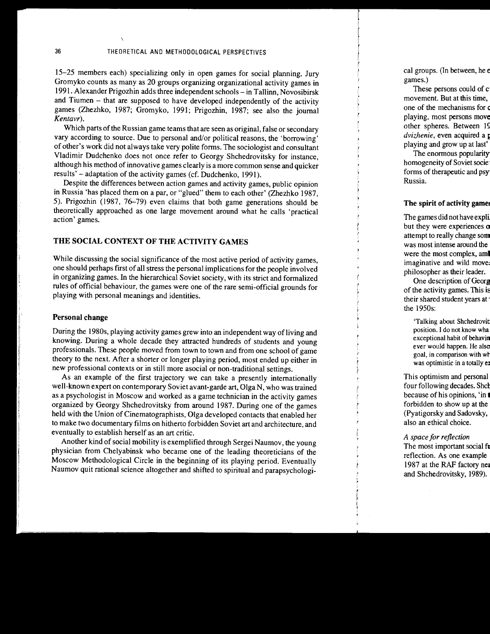15-25 members each) specializing only in open games for social planning. Jury Gromyko counts as many as 20 groups organizing organizational activity games in 1991. Alexander Prigozhin adds three independent schools- in Tallinn, Novosibirsk and Tiumen - that are supposed to have developed independently of the activity games (Zhezhko, 1987; Gromyko, 1991; Prigozhin, 1987; see also the journal *Kentavr).* 

Which parts of the Russian game teams that are seen as original, false or secondary vary according to source. Due to personal and/or political reasons, the 'borrowing' of other's work did not always take very polite forms. The sociologist and consultant Vladimir Dudchenko does not once refer to Georgy Shchedrovitsky for instance, although his method of innovative games clearly is a more common sense and quicker results' – adaptation of the activity games (cf. Dudchenko, 1991).

Despite the differences between action games and activity games, public opinion in Russia 'has placed them on a par, or "glued" them to each other' (Zhezhko 1987, 5). Prigozhin (1987, 76-79) even claims that both game generations should be theoretically approached as one large movement around what he calls 'practical action' games.

# THE SOCIAL CONTEXT OF THE ACTIVITY GAMES

While discussing the social significance of the most active period of activity games, one should perhaps first of all stress the personal implications for the people involved in organizing games. In the hierarchical Soviet society, with its strict and formalized rules of official behaviour, the games were one of the rare semi-official grounds for playing with personal meanings and identities.

#### Personal change

During the 1980s, playing activity games grew into an independent way of living and knowing. During a whole decade they attracted hundreds of students and young professionals. These people moved from town to town and from one school of game theory to the next. After a shorter or longer playing period, most ended up either in new professional contexts or in still more asocial or non-traditional settings.

As an example of the first trajectory we can take a presently internationally well-known expert on contemporary Soviet avant-garde art, Olga N, who was trained as a psychologist in Moscow and worked as a game technician in the activity games organized by Georgy Shchedrovitsky from around 1987. During one of the games held with the Union of Cinematographists, Olga developed contacts that enabled her to make two documentary films on hitherto forbidden Soviet art and architecture, and eventually to establish herself as an art critic.

Another kind of social mobility is exemplified through Sergei Naumov, the young physician from Chelyabinsk who became one of the leading theoreticians of the Moscow Methodological Circle in the beginning of its playing period. Eventually Naumov quit rational science altogether and shifted to spiritual and parapsychologi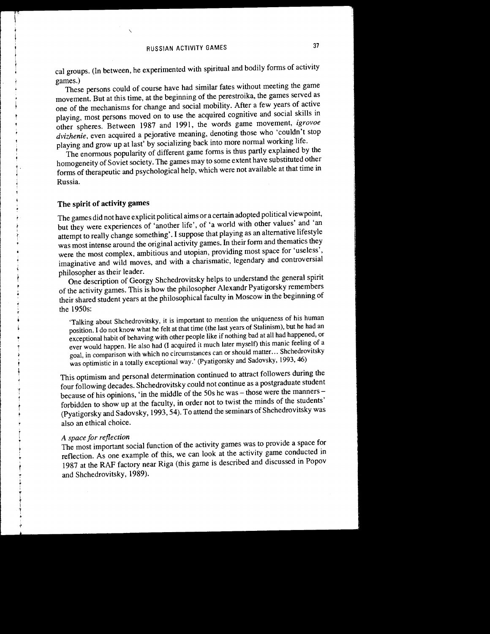cal groups. (In between, he experimented with spiritual and bodily forms of activity games.)

These persons could of course have had similar fates without meeting the game movement. But at this time, at the beginning of the perestroika, the games served as one of the mechanisms for change and social mobility. After a few years of active playing, most persons moved on to use the acquired cognitive and social skills in other spheres. Between 1987 and 1991, the words game movement, *igrovoe dviz}zenie,* even acquired a pejorative meaning, denoting those who 'couldn't stop playing and grow up at last' by socializing back into more normal working life.

The enormous popularity of different game forms is thus partly explained by the homogeneity of Soviet society. The games may to some extent have substituted other forms of therapeutic and psychological help, which were not available at that time in Russia.

# **The spirit of activity** games

The games did not have explicit political aims or a certain adopted political viewpoint, but they were experiences of 'another life', of 'a world with other values' and 'an attempt to really change something'. I suppose that playing as an alternative lifestyle was most intense around the original activity games. In their form and thematics they were the most complex, ambitious and utopian, providing most space for 'useless', imaginative and wild moves, and with a charismatic, legendary and controversial philosopher as their leader.

One description of Georgy Shchedrovitsky helps to understand the general spirit of the activity games. This is how the philosopher Alexandr Pyatigorsky remembers their shared student years at the philosophical faculty in Moscow in the beginning of the 1950s:

'Talking about Shchedrovitsky, it is important to mention the uniqueness of his human position. I do not know what he felt at that time (the last years of Stalinism), but he had an exceptional habit of behaving with other people like if nothing bad at all had happened, or ever would happen. He also had (I acquired it much later myself) this manic feeling of a goal, in comparison with which no circumstances can or should matter ... Shchedrovitsky was optimistic in a totally exceptional way.' (Pyatigorsky and Sadovsky, 1993, 46)

This optimism and personal determination continued to attract followers during the four following decades. Shchedrovitsky could not continue as a postgraduate student because of his opinions, 'in the middle of the 50s he was - those were the manners forbidden to show up at the faculty, in order not to twist the minds of the students' (Pyatigorsky and Sadovsky, 1993, 54). To attend the seminars of Shchedrovitsky was also an ethical choice.

## *A space for reflection*

The most important social function of the activity games was to provide a space for reflection. As one example of this, we can look at the activity game conducted in 1987 at the RAF factory near Riga (this game is described and discussed in Popov and Shchedrovitsky, 1989).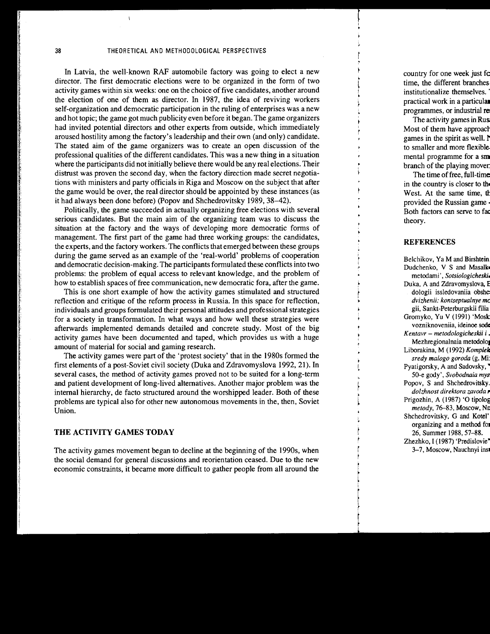In Latvia, the well-known RAF automobile factory was going to elect a new director. The first democratic elections were to be organized in the form of two activity games within six weeks: one on the choice of five candidates, another around the election of one of them as director. In 1987, the idea of reviving workers self-organization and democratic participation in the ruling of enterprises was a new and hot topic; the game got much publicity even before it began. The game organizers had invited potential directors and other experts from outside, which immediately aroused hostility among the factory's leadership and their own (and only) candidate. The stated aim of the game organizers was to create an open discussion of the professional qualities of the different candidates. This was a new thing in a situation where the participants did not initially believe there would be any real elections. Their distrust was proven the second day, when the factory direction made secret negotiations with ministers and party officials in Riga and Moscow on the subject that after the game would be over, the real director should be appointed by these instances (as it had always been done before) (Popov and Shchedrovitsky 1989, 38-42).

Politically, the game succeeded in actually organizing free elections with several serious candidates. But the main aim of the organizing team was to discuss the situation at the factory and the ways of developing more democratic forms of management. The first part of the game had three working groups: the candidates, the experts, and the factory workers. The conflicts that emerged between these groups during the game served as an example of the 'real-world' problems of cooperation and democratic decision-making. The participants formulated these conflicts into two problems: the problem of equal access to relevant knowledge, and the problem of how to establish spaces of free communication, new democratic fora, after the game.

This is one short example of how the activity games stimulated and structured reflection and critique of the reform process in Russia. In this space for reflection, individuals and groups formulated their personal attitudes and professional strategies for a society in transformation. In what ways and how well these strategies were afterwards implemented demands detailed and concrete study. Most of the big activity games have been documented and taped, which provides us with a huge amount of material for social and gaming research.

The activity games were part of the 'protest society' that in the 1980s formed the first elements of a post-Soviet civil society (Duka and Zdravomyslova 1992, 21). In several cases, the method of activity games proved not to be suited for a long-term and patient development of long-lived alternatives. Another major problem was the internal hierarchy, de facto structured around the worshipped leader. Both of these problems are typical also for other new autonomous movements in the, then, Soviet Union.

## THE ACTIVITY GAMES TODAY

The activity games movement began to decline at the beginning of the 1990s, when the social demand for general discussions and reorientation ceased. Due to the new economic constraints, it became more difficult to gather people from all around the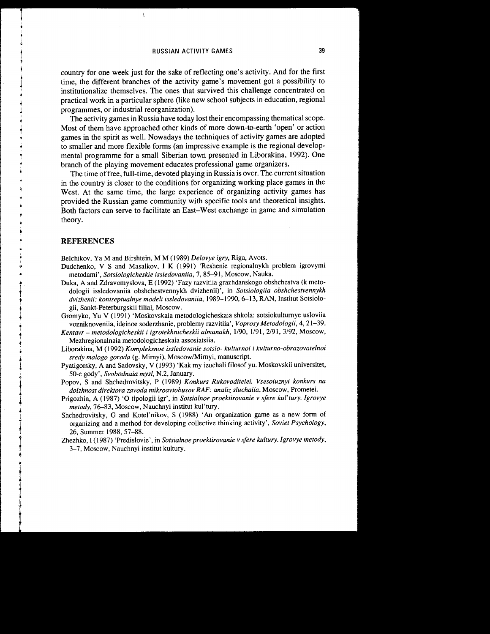country for one week just for the sake of reflecting one's activity. And for the first time, the different branches of the activity game's movement got a possibility to institutionalize themselves. The ones that survived this challenge concentrated on practical work in a particular sphere (like new school subjects in education, regional programmes, or industrial reorganization).

The activity games in Russia have today lost their encompassing thematical scope. Most of them have approached other kinds of more down-to-earth 'open' or action games in the spirit as well. Nowadays the techniques of activity games are adopted to smaller and more flexible forms (an impressive example is the regional developmental programme for a small Siberian town presented in Liborakina, 1992). One branch of the playing movement educates professional game organizers.

The time of free, full-time, devoted playing in Russia is over. The current situation in the country is closer to the conditions for organizing working place games in the West. At the same time, the large experience of organizing activity games has provided the Russian game community with specific tools and theoretical insights. Both factors can serve to facilitate an East-West exchange in game and simulation theory.

#### **REFERENCES**

Belchikov, YaM and Birshtein, M M (1989) *Delovye igry,* Riga, Avots.

- Dudchenko, V S and Masalkov, I K (1991) 'Reshenie regionalnykh problem igrovymi metodami', *Sotsiologicheskie issledovaniia,* 7, 85-91, Moscow, Nauka.
- Duka, A and Zdravomyslova, E (1992) 'Fazy razvitiia grazhdanskogo obshchestva (k metodologii issledovaniia obshchestvennykh dvizhenii)', in *Sotsiologiia obshchestvennykh*  dvizhenii: kontseptualnye modeli issledovaniia, 1989-1990, 6-13, RAN, Institut Sotsiologii, Sankt-Peterburgskii filial, Moscow.
- Gromyko, Yu V (1991) 'Moskovskaia metodologicheskaia shkola: sotsiokultumye usloviia vozniknoveniia, ideinoe soderzhanie, problemy razvitiia', *Voprosy Metodologii,* 4, 21-39.
- *Kentavr- metodologicheskii i igrotekhnicheskii almanakh, 1190, 1191, 2191,* 3/92, Moscow, Mezhregionalnaia metodologicheskaia assosiatsiia.
- Liborakina, M (1992) *Kompleksnoe issledovanie sotsio- kulturnoi i kulturno-obrazovatelnoi sredy malogo goroda* (g. Mimyi), Moscow/Mimyi, manuscript.
- Pyatigorsky, A and Sadovsky, V ( 1993) 'Kak my izuchali filosof yu. Moskovskii universitet, 50-e gody', *Svobodnaia mysl,* N.2, January.
- Popov, S and Shchedrovitsky, P (1989) *Konkurs Rukovoditelei. Vsesoiuznyi konkurs na dolzhnost direktora zavoda mikroavtobusov RAF: analiz sluchaiia,* Moscow, Prometei.
- Prigozhin, A (1987) '0 tipologii igr', in *Sotsialnoe proektirovanie v sfere kul'tury. lgrovye metody,* 76-83, Moscow, Nauchnyi institut kul'tury.
- Shchedrovitsky, G and Kotel'nikov, S (1988) An organization game as a new form of organizing and a method for developing collective thinking activity', *Soviet Psychology,*  26, Summer 1988, 57-88.
- Zhezhko, I (1987) 'Predislovie', in *Sotsialnoe proektirovanie v sfere kultury. I grovye metody*, 3-7, Moscow, Nauchnyi institut kultury.